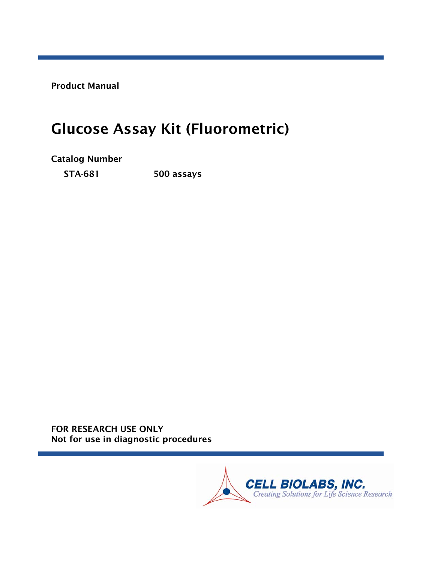Product Manual

# Glucose Assay Kit (Fluorometric)

Catalog Number

STA-681 500 assays

FOR RESEARCH USE ONLY Not for use in diagnostic procedures

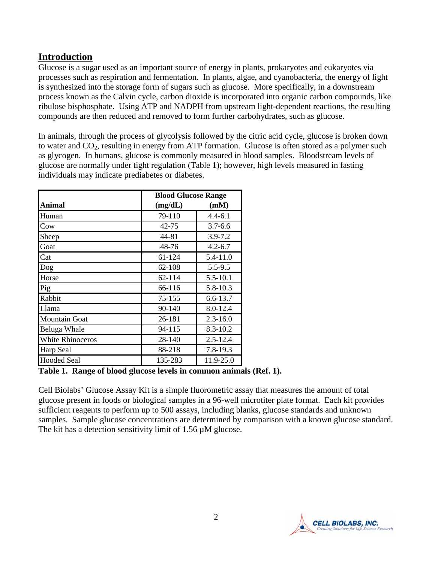# **Introduction**

Glucose is a sugar used as an important source of energy in plants, prokaryotes and eukaryotes via processes such as respiration and fermentation. In plants, algae, and cyanobacteria, the energy of light is synthesized into the storage form of sugars such as glucose. More specifically, in a downstream process known as the Calvin cycle, carbon dioxide is incorporated into organic carbon compounds, like ribulose bisphosphate. Using ATP and NADPH from upstream light-dependent reactions, the resulting compounds are then reduced and removed to form further carbohydrates, such as glucose.

In animals, through the process of glycolysis followed by the citric acid cycle, glucose is broken down to water and  $CO<sub>2</sub>$ , resulting in energy from ATP formation. Glucose is often stored as a polymer such as glycogen. In humans, glucose is commonly measured in blood samples. Bloodstream levels of glucose are normally under tight regulation (Table 1); however, high levels measured in fasting individuals may indicate prediabetes or diabetes.

|                         |         | <b>Blood Glucose Range</b> |  |  |
|-------------------------|---------|----------------------------|--|--|
| Animal                  | (mg/dL) | (mM)                       |  |  |
| Human                   | 79-110  | 4.4-6.1                    |  |  |
| Cow                     | 42-75   | $3.7 - 6.6$                |  |  |
| Sheep                   | 44-81   | $3.9 - 7.2$                |  |  |
| Goat                    | 48-76   | $4.2 - 6.7$                |  |  |
| Cat                     | 61-124  | 5.4-11.0                   |  |  |
| Dog                     | 62-108  | $5.5 - 9.5$                |  |  |
| Horse                   | 62-114  | $5.5 - 10.1$               |  |  |
| Pig                     | 66-116  | 5.8-10.3                   |  |  |
| Rabbit                  | 75-155  | 6.6-13.7                   |  |  |
| Llama                   | 90-140  | 8.0-12.4                   |  |  |
| <b>Mountain Goat</b>    | 26-181  | $2.3 - 16.0$               |  |  |
| Beluga Whale            | 94-115  | 8.3-10.2                   |  |  |
| <b>White Rhinoceros</b> | 28-140  | $2.5 - 12.4$               |  |  |
| Harp Seal               | 88-218  | $7.8 - 19.3$               |  |  |
| <b>Hooded Seal</b>      | 135-283 | 11.9-25.0                  |  |  |

**Table 1. Range of blood glucose levels in common animals (Ref. 1).**

Cell Biolabs' Glucose Assay Kit is a simple fluorometric assay that measures the amount of total glucose present in foods or biological samples in a 96-well microtiter plate format. Each kit provides sufficient reagents to perform up to 500 assays, including blanks, glucose standards and unknown samples. Sample glucose concentrations are determined by comparison with a known glucose standard. The kit has a detection sensitivity limit of  $1.56 \mu$ M glucose.

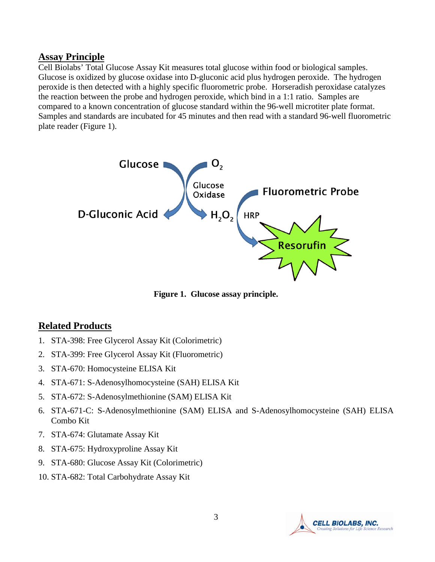#### **Assay Principle**

Cell Biolabs' Total Glucose Assay Kit measures total glucose within food or biological samples. Glucose is oxidized by glucose oxidase into D-gluconic acid plus hydrogen peroxide. The hydrogen peroxide is then detected with a highly specific fluorometric probe. Horseradish peroxidase catalyzes the reaction between the probe and hydrogen peroxide, which bind in a 1:1 ratio. Samples are compared to a known concentration of glucose standard within the 96-well microtiter plate format. Samples and standards are incubated for 45 minutes and then read with a standard 96-well fluorometric plate reader (Figure 1).



**Figure 1. Glucose assay principle.**

#### **Related Products**

- 1. STA-398: Free Glycerol Assay Kit (Colorimetric)
- 2. STA-399: Free Glycerol Assay Kit (Fluorometric)
- 3. STA-670: Homocysteine ELISA Kit
- 4. STA-671: S-Adenosylhomocysteine (SAH) ELISA Kit
- 5. STA-672: S-Adenosylmethionine (SAM) ELISA Kit
- 6. STA-671-C: S-Adenosylmethionine (SAM) ELISA and S-Adenosylhomocysteine (SAH) ELISA Combo Kit
- 7. STA-674: Glutamate Assay Kit
- 8. STA-675: Hydroxyproline Assay Kit
- 9. STA-680: Glucose Assay Kit (Colorimetric)
- 10. STA-682: Total Carbohydrate Assay Kit

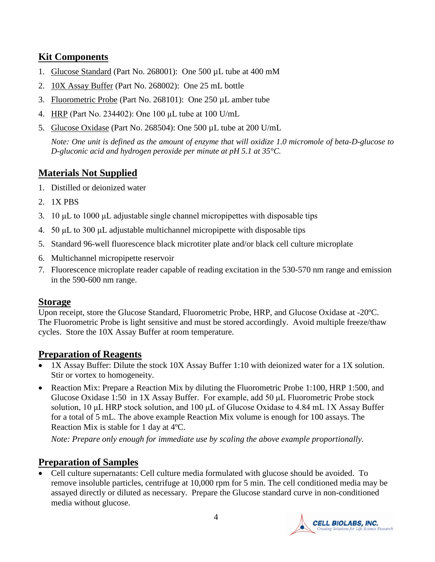# **Kit Components**

- 1. Glucose Standard (Part No. 268001): One 500 µL tube at 400 mM
- 2. 10X Assay Buffer (Part No. 268002): One 25 mL bottle
- 3. Fluorometric Probe (Part No. 268101): One 250 µL amber tube
- 4. HRP (Part No. 234402): One 100 μL tube at 100 U/mL
- 5. Glucose Oxidase (Part No. 268504): One 500 µL tube at 200 U/mL

*Note: One unit is defined as the amount of enzyme that will oxidize 1.0 micromole of beta-D-glucose to D-gluconic acid and hydrogen peroxide per minute at pH 5.1 at 35°C.*

# **Materials Not Supplied**

- 1. Distilled or deionized water
- 2. 1X PBS
- 3. 10 μL to 1000 μL adjustable single channel micropipettes with disposable tips
- 4. 50 μL to 300 μL adjustable multichannel micropipette with disposable tips
- 5. Standard 96-well fluorescence black microtiter plate and/or black cell culture microplate
- 6. Multichannel micropipette reservoir
- 7. Fluorescence microplate reader capable of reading excitation in the 530-570 nm range and emission in the 590-600 nm range.

#### **Storage**

Upon receipt, store the Glucose Standard, Fluorometric Probe, HRP, and Glucose Oxidase at -20ºC. The Fluorometric Probe is light sensitive and must be stored accordingly. Avoid multiple freeze/thaw cycles. Store the 10X Assay Buffer at room temperature.

## **Preparation of Reagents**

- 1X Assay Buffer: Dilute the stock 10X Assay Buffer 1:10 with deionized water for a 1X solution. Stir or vortex to homogeneity.
- Reaction Mix: Prepare a Reaction Mix by diluting the Fluorometric Probe 1:100, HRP 1:500, and Glucose Oxidase 1:50 in 1X Assay Buffer. For example, add 50 μL Fluorometric Probe stock solution, 10 μL HRP stock solution, and 100 μL of Glucose Oxidase to 4.84 mL 1X Assay Buffer for a total of 5 mL. The above example Reaction Mix volume is enough for 100 assays. The Reaction Mix is stable for 1 day at 4ºC.

*Note: Prepare only enough for immediate use by scaling the above example proportionally.*

## **Preparation of Samples**

• Cell culture supernatants: Cell culture media formulated with glucose should be avoided. To remove insoluble particles, centrifuge at 10,000 rpm for 5 min. The cell conditioned media may be assayed directly or diluted as necessary. Prepare the Glucose standard curve in non-conditioned media without glucose.

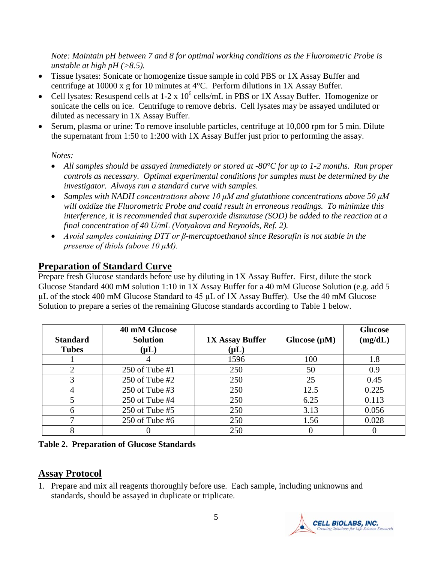*Note: Maintain pH between 7 and 8 for optimal working conditions as the Fluorometric Probe is unstable at high pH (>8.5).*

- Tissue lysates: Sonicate or homogenize tissue sample in cold PBS or 1X Assay Buffer and centrifuge at 10000 x g for 10 minutes at 4°C. Perform dilutions in 1X Assay Buffer.
- Cell lysates: Resuspend cells at  $1-2 \times 10^6$  cells/mL in PBS or 1X Assay Buffer. Homogenize or sonicate the cells on ice. Centrifuge to remove debris. Cell lysates may be assayed undiluted or diluted as necessary in 1X Assay Buffer.
- Serum, plasma or urine: To remove insoluble particles, centrifuge at 10,000 rpm for 5 min. Dilute the supernatant from 1:50 to 1:200 with 1X Assay Buffer just prior to performing the assay.

#### *Notes:*

- *All samples should be assayed immediately or stored at -80°C for up to 1-2 months. Run proper controls as necessary. Optimal experimental conditions for samples must be determined by the investigator. Always run a standard curve with samples.*
- *Samples with NADH concentrations above 10 μM and glutathione concentrations above 50 μM will oxidize the Fluorometric Probe and could result in erroneous readings. To minimize this interference, it is recommended that superoxide dismutase (SOD) be added to the reaction at a final concentration of 40 U/mL (Votyakova and Reynolds, Ref. 2).*
- *Avoid samples containing DTT or β-mercaptoethanol since Resorufin is not stable in the presense of thiols (above 10 μM).*

# **Preparation of Standard Curve**

Prepare fresh Glucose standards before use by diluting in 1X Assay Buffer. First, dilute the stock Glucose Standard 400 mM solution 1:10 in 1X Assay Buffer for a 40 mM Glucose Solution (e.g. add 5 μL of the stock 400 mM Glucose Standard to 45 μL of 1X Assay Buffer). Use the 40 mM Glucose Solution to prepare a series of the remaining Glucose standards according to Table 1 below.

| <b>Standard</b><br><b>Tubes</b> | 40 mM Glucose<br><b>Solution</b><br>$(\mu L)$ | <b>1X Assay Buffer</b><br>$(\mathsf{\mu L})$ | Glucose $(\mu M)$ | <b>Glucose</b><br>(mg/dL) |
|---------------------------------|-----------------------------------------------|----------------------------------------------|-------------------|---------------------------|
|                                 |                                               | 1596                                         | 100               | 1.8                       |
| 2                               | 250 of Tube $#1$                              | 250                                          | 50                | 0.9                       |
| 3                               | 250 of Tube $#2$                              | 250                                          | 25                | 0.45                      |
| 4                               | 250 of Tube $#3$                              | 250                                          | 12.5              | 0.225                     |
| 5                               | $250$ of Tube #4                              | 250                                          | 6.25              | 0.113                     |
| 6                               | $250$ of Tube #5                              | 250                                          | 3.13              | 0.056                     |
|                                 | $250$ of Tube #6                              | 250                                          | 1.56              | 0.028                     |
| 8                               |                                               | 250                                          |                   |                           |

**Table 2. Preparation of Glucose Standards**

# **Assay Protocol**

1. Prepare and mix all reagents thoroughly before use. Each sample, including unknowns and standards, should be assayed in duplicate or triplicate.

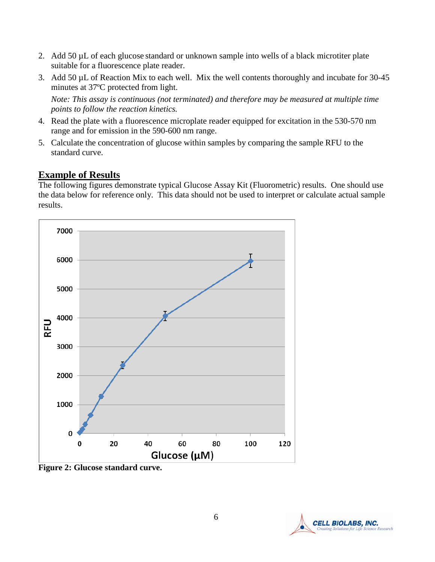- 2. Add 50 µL of each glucose standard or unknown sample into wells of a black microtiter plate suitable for a fluorescence plate reader.
- 3. Add 50 µL of Reaction Mix to each well. Mix the well contents thoroughly and incubate for 30-45 minutes at 37ºC protected from light.

*Note: This assay is continuous (not terminated) and therefore may be measured at multiple time points to follow the reaction kinetics.*

- 4. Read the plate with a fluorescence microplate reader equipped for excitation in the 530-570 nm range and for emission in the 590-600 nm range.
- 5. Calculate the concentration of glucose within samples by comparing the sample RFU to the standard curve.

# **Example of Results**

The following figures demonstrate typical Glucose Assay Kit (Fluorometric) results. One should use the data below for reference only. This data should not be used to interpret or calculate actual sample results.



**Figure 2: Glucose standard curve.** 

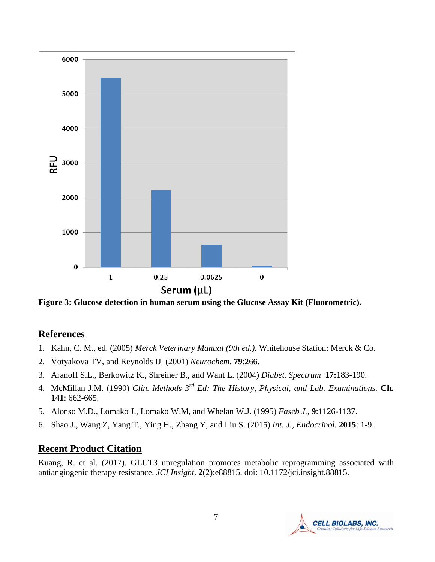

**Figure 3: Glucose detection in human serum using the Glucose Assay Kit (Fluorometric).** 

#### **References**

- 1. Kahn, C. M., ed. (2005) *Merck Veterinary Manual (9th ed.).* Whitehouse Station: Merck & Co.
- 2. Votyakova TV, and Reynolds IJ (2001) *Neurochem*. **79**:266.
- 3. Aranoff S.L., Berkowitz K., Shreiner B., and Want L. (2004) *Diabet. Spectrum* **17:**183-190.
- 4. McMillan J.M. (1990) *Clin. Methods 3rd Ed: The History, Physical, and Lab. Examinations.* **Ch. 141**: 662-665.
- 5. Alonso M.D., Lomako J., Lomako W.M, and Whelan W.J. (1995) *Faseb J.,* **9**:1126-1137.
- 6. Shao J., Wang Z, Yang T., Ying H., Zhang Y, and Liu S. (2015) *Int. J., Endocrinol.* **2015**: 1-9.

## **Recent Product Citation**

Kuang, R. et al. (2017). GLUT3 upregulation promotes metabolic reprogramming associated with antiangiogenic therapy resistance. *JCI Insight*. **2**(2):e88815. doi: 10.1172/jci.insight.88815.